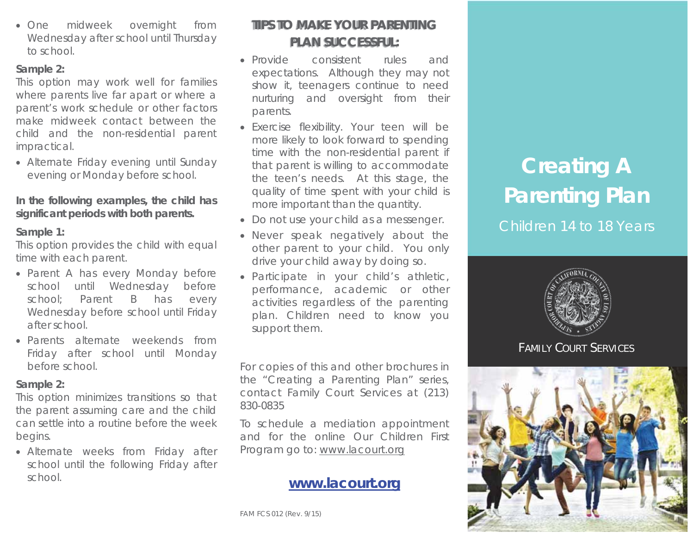• One midweek overnight from Wednesday after school until Thursday to school.

## **Sample 2:**

This option may work well for families where parents live far apart or where a parent's work schedule or other factors make midweek contact between the child and the non-residential parent impractical.

• Alternate Friday evening until Sunday evening or Monday before school.

## **In the following examples, the child has significant periods with both parents.**

## **Sample 1:**

This option provides the child with equal time with each parent.

- Parent A has every Monday before school until Wednesday before school; Parent B has every Wednesday before school until Friday after school.
- Parents alternate weekends from Friday after school until Monday before school.

## **Sample 2:**

This option minimizes transitions so that the parent assuming care and the child can settle into a routine before the week begins.

• Alternate weeks from Friday after school until the following Friday after school.

## **TIPS TO MAKE YOUR PARENTING PLAN SUCCESSFUL:**

- Provide consistent rules and expectations. Although they may not show it, teenagers continue to need nurturing and oversight from their parents.
- Exercise flexibility. Your teen will be more likely to look forward to spending time with the non-residential parent if that parent is willing to accommodate the teen's needs. At this stage, the quality of time spent with your child is more important than the quantity.
- Do not use your child as a messenger.
- Never speak negatively about the other parent to your child. You only drive your child away by doing so.
- Participate in your child's athletic, performance, academic or other activities regardless of the parenting plan. Children need to know you support them.

For copies of this and other brochures in the "Creating a Parenting Plan" series, contact Family Court Services at (213) 830-0835

To schedule a mediation appointment and for the online Our Children First Program go to: www.lacourt.org

## **www.lacourt.org**

FAM FCS 012 (Rev. 9/15)

# **Creating A Parenting Plan**

Children 14 to 18 Years



FAMILY COURT SERVICES